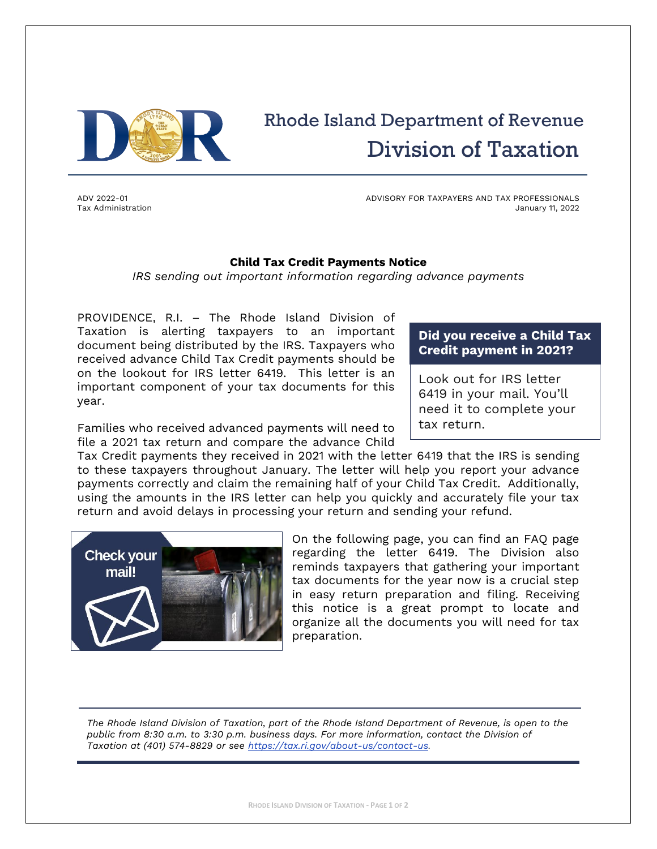

# Rhode Island Department of Revenue Division of Taxation

ADV 2022-01 Tax Administration ADVISORY FOR TAXPAYERS AND TAX PROFESSIONALS January 11, 2022

#### **Child Tax Credit Payments Notice**

*IRS sending out important information regarding advance payments*

PROVIDENCE, R.I. – The Rhode Island Division of Taxation is alerting taxpayers to an important document being distributed by the IRS. Taxpayers who received advance Child Tax Credit payments should be on the lookout for IRS letter 6419. This letter is an important component of your tax documents for this year.

### **Did you receive a Child Tax Credit payment in 2021?**

Look out for IRS letter 6419 in your mail. You'll need it to complete your tax return.

Families who received advanced payments will need to file a 2021 tax return and compare the advance Child

Tax Credit payments they received in 2021 with the letter 6419 that the IRS is sending to these taxpayers throughout January. The letter will help you report your advance payments correctly and claim the remaining half of your Child Tax Credit. Additionally, using the amounts in the IRS letter can help you quickly and accurately file your tax return and avoid delays in processing your return and sending your refund.



On the following page, you can find an FAQ page regarding the letter 6419. The Division also reminds taxpayers that gathering your important tax documents for the year now is a crucial step in easy return preparation and filing. Receiving this notice is a great prompt to locate and organize all the documents you will need for tax preparation.

*The Rhode Island Division of Taxation, part of the Rhode Island Department of Revenue, is open to the public from 8:30 a.m. to 3:30 p.m. business days. For more information, contact the Division of Taxation at (401) 574‐8829 or see [https://tax.ri.gov/about-us/contact-us.](https://tax.ri.gov/about-us/contact-us)*